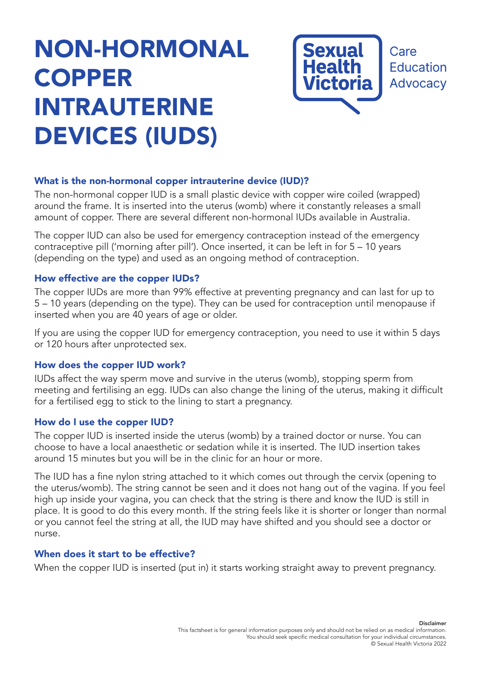# NON-HORMONAL COPPER INTRAUTERINE DEVICES (IUDS)



# What is the non-hormonal copper intrauterine device (IUD)?

The non-hormonal copper IUD is a small plastic device with copper wire coiled (wrapped) around the frame. It is inserted into the uterus (womb) where it constantly releases a small amount of copper. There are several different non-hormonal IUDs available in Australia.

The copper IUD can also be used for emergency contraception instead of the emergency contraceptive pill ('morning after pill'). Once inserted, it can be left in for 5 – 10 years (depending on the type) and used as an ongoing method of contraception.

### How effective are the copper IUDs?

The copper IUDs are more than 99% effective at preventing pregnancy and can last for up to 5 – 10 years (depending on the type). They can be used for contraception until menopause if inserted when you are 40 years of age or older.

If you are using the copper IUD for emergency contraception, you need to use it within 5 days or 120 hours after unprotected sex.

#### How does the copper IUD work?

IUDs affect the way sperm move and survive in the uterus (womb), stopping sperm from meeting and fertilising an egg. IUDs can also change the lining of the uterus, making it difficult for a fertilised egg to stick to the lining to start a pregnancy.

#### How do I use the copper IUD?

The copper IUD is inserted inside the uterus (womb) by a trained doctor or nurse. You can choose to have a local anaesthetic or sedation while it is inserted. The IUD insertion takes around 15 minutes but you will be in the clinic for an hour or more.

The IUD has a fine nylon string attached to it which comes out through the cervix (opening to the uterus/womb). The string cannot be seen and it does not hang out of the vagina. If you feel high up inside your vagina, you can check that the string is there and know the IUD is still in place. It is good to do this every month. If the string feels like it is shorter or longer than normal or you cannot feel the string at all, the IUD may have shifted and you should see a doctor or nurse.

#### When does it start to be effective?

When the copper IUD is inserted (put in) it starts working straight away to prevent pregnancy.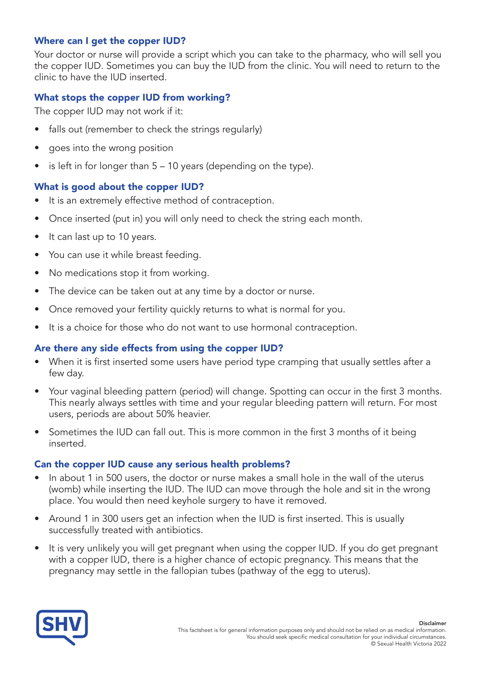# Where can I get the copper IUD?

Your doctor or nurse will provide a script which you can take to the pharmacy, who will sell you the copper IUD. Sometimes you can buy the IUD from the clinic. You will need to return to the clinic to have the IUD inserted.

# What stops the copper IUD from working?

The copper IUD may not work if it:

- falls out (remember to check the strings regularly)
- goes into the wrong position
- $\bullet$  is left in for longer than  $5 10$  years (depending on the type).

# What is good about the copper IUD?

- It is an extremely effective method of contraception.
- Once inserted (put in) you will only need to check the string each month.
- It can last up to 10 years.
- You can use it while breast feeding.
- No medications stop it from working.
- The device can be taken out at any time by a doctor or nurse.
- Once removed your fertility quickly returns to what is normal for you.
- It is a choice for those who do not want to use hormonal contraception.

#### Are there any side effects from using the copper IUD?

- When it is first inserted some users have period type cramping that usually settles after a few day.
- Your vaginal bleeding pattern (period) will change. Spotting can occur in the first 3 months. This nearly always settles with time and your regular bleeding pattern will return. For most users, periods are about 50% heavier.
- Sometimes the IUD can fall out. This is more common in the first 3 months of it being inserted.

#### Can the copper IUD cause any serious health problems?

- In about 1 in 500 users, the doctor or nurse makes a small hole in the wall of the uterus (womb) while inserting the IUD. The IUD can move through the hole and sit in the wrong place. You would then need keyhole surgery to have it removed.
- Around 1 in 300 users get an infection when the IUD is first inserted. This is usually successfully treated with antibiotics.
- It is very unlikely you will get pregnant when using the copper IUD. If you do get pregnant with a copper IUD, there is a higher chance of ectopic pregnancy. This means that the pregnancy may settle in the fallopian tubes (pathway of the egg to uterus).